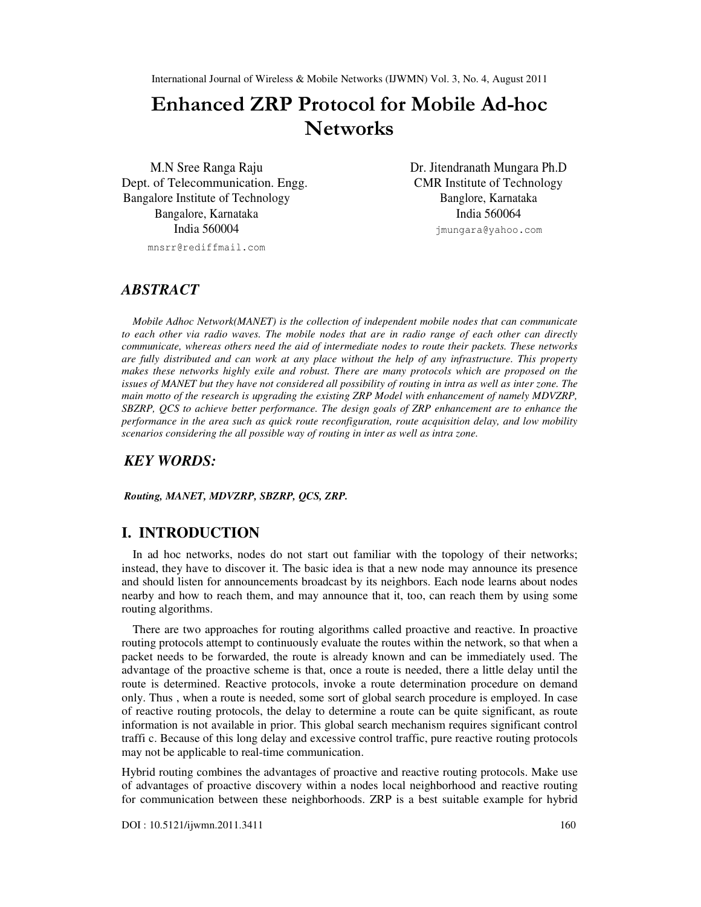# Enhanced ZRP Protocol for Mobile Ad-hoc **Networks**

Dept. of Telecommunication. Engg. CMR Institute of Technology Bangalore Institute of Technology Banglore, Karnataka Bangalore, Karnataka India 560064 India 560004 **jmungara@yahoo.com** 

M.N Sree Ranga Raju  $Dr$ . Jitendranath Mungara Ph.D

mnsrr@rediffmail.com

# *ABSTRACT*

*Mobile Adhoc Network(MANET) is the collection of independent mobile nodes that can communicate to each other via radio waves. The mobile nodes that are in radio range of each other can directly communicate, whereas others need the aid of intermediate nodes to route their packets. These networks are fully distributed and can work at any place without the help of any infrastructure. This property makes these networks highly exile and robust. There are many protocols which are proposed on the issues of MANET but they have not considered all possibility of routing in intra as well as inter zone. The main motto of the research is upgrading the existing ZRP Model with enhancement of namely MDVZRP, SBZRP, QCS to achieve better performance. The design goals of ZRP enhancement are to enhance the performance in the area such as quick route reconfiguration, route acquisition delay, and low mobility scenarios considering the all possible way of routing in inter as well as intra zone.* 

## *KEY WORDS:*

*Routing, MANET, MDVZRP, SBZRP, QCS, ZRP.* 

### **I. INTRODUCTION**

In ad hoc networks, nodes do not start out familiar with the topology of their networks; instead, they have to discover it. The basic idea is that a new node may announce its presence and should listen for announcements broadcast by its neighbors. Each node learns about nodes nearby and how to reach them, and may announce that it, too, can reach them by using some routing algorithms.

There are two approaches for routing algorithms called proactive and reactive. In proactive routing protocols attempt to continuously evaluate the routes within the network, so that when a packet needs to be forwarded, the route is already known and can be immediately used. The advantage of the proactive scheme is that, once a route is needed, there a little delay until the route is determined. Reactive protocols, invoke a route determination procedure on demand only. Thus , when a route is needed, some sort of global search procedure is employed. In case of reactive routing protocols, the delay to determine a route can be quite significant, as route information is not available in prior. This global search mechanism requires significant control traffi c. Because of this long delay and excessive control traffic, pure reactive routing protocols may not be applicable to real-time communication.

Hybrid routing combines the advantages of proactive and reactive routing protocols. Make use of advantages of proactive discovery within a nodes local neighborhood and reactive routing for communication between these neighborhoods. ZRP is a best suitable example for hybrid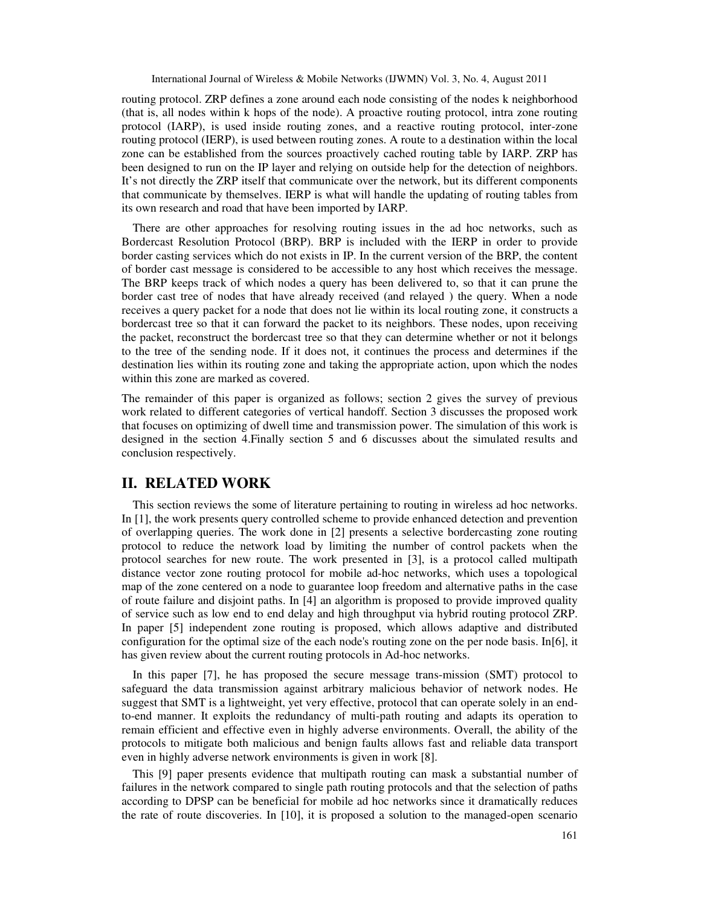routing protocol. ZRP defines a zone around each node consisting of the nodes k neighborhood (that is, all nodes within k hops of the node). A proactive routing protocol, intra zone routing protocol (IARP), is used inside routing zones, and a reactive routing protocol, inter-zone routing protocol (IERP), is used between routing zones. A route to a destination within the local zone can be established from the sources proactively cached routing table by IARP. ZRP has been designed to run on the IP layer and relying on outside help for the detection of neighbors. It's not directly the ZRP itself that communicate over the network, but its different components that communicate by themselves. IERP is what will handle the updating of routing tables from its own research and road that have been imported by IARP.

There are other approaches for resolving routing issues in the ad hoc networks, such as Bordercast Resolution Protocol (BRP). BRP is included with the IERP in order to provide border casting services which do not exists in IP. In the current version of the BRP, the content of border cast message is considered to be accessible to any host which receives the message. The BRP keeps track of which nodes a query has been delivered to, so that it can prune the border cast tree of nodes that have already received (and relayed ) the query. When a node receives a query packet for a node that does not lie within its local routing zone, it constructs a bordercast tree so that it can forward the packet to its neighbors. These nodes, upon receiving the packet, reconstruct the bordercast tree so that they can determine whether or not it belongs to the tree of the sending node. If it does not, it continues the process and determines if the destination lies within its routing zone and taking the appropriate action, upon which the nodes within this zone are marked as covered.

The remainder of this paper is organized as follows; section 2 gives the survey of previous work related to different categories of vertical handoff. Section 3 discusses the proposed work that focuses on optimizing of dwell time and transmission power. The simulation of this work is designed in the section 4.Finally section 5 and 6 discusses about the simulated results and conclusion respectively.

### **II. RELATED WORK**

This section reviews the some of literature pertaining to routing in wireless ad hoc networks. In [1], the work presents query controlled scheme to provide enhanced detection and prevention of overlapping queries. The work done in [2] presents a selective bordercasting zone routing protocol to reduce the network load by limiting the number of control packets when the protocol searches for new route. The work presented in [3], is a protocol called multipath distance vector zone routing protocol for mobile ad-hoc networks, which uses a topological map of the zone centered on a node to guarantee loop freedom and alternative paths in the case of route failure and disjoint paths. In [4] an algorithm is proposed to provide improved quality of service such as low end to end delay and high throughput via hybrid routing protocol ZRP. In paper [5] independent zone routing is proposed, which allows adaptive and distributed configuration for the optimal size of the each node's routing zone on the per node basis. In[6], it has given review about the current routing protocols in Ad-hoc networks.

In this paper [7], he has proposed the secure message trans-mission (SMT) protocol to safeguard the data transmission against arbitrary malicious behavior of network nodes. He suggest that SMT is a lightweight, yet very effective, protocol that can operate solely in an endto-end manner. It exploits the redundancy of multi-path routing and adapts its operation to remain efficient and effective even in highly adverse environments. Overall, the ability of the protocols to mitigate both malicious and benign faults allows fast and reliable data transport even in highly adverse network environments is given in work [8].

This [9] paper presents evidence that multipath routing can mask a substantial number of failures in the network compared to single path routing protocols and that the selection of paths according to DPSP can be beneficial for mobile ad hoc networks since it dramatically reduces the rate of route discoveries. In [10], it is proposed a solution to the managed-open scenario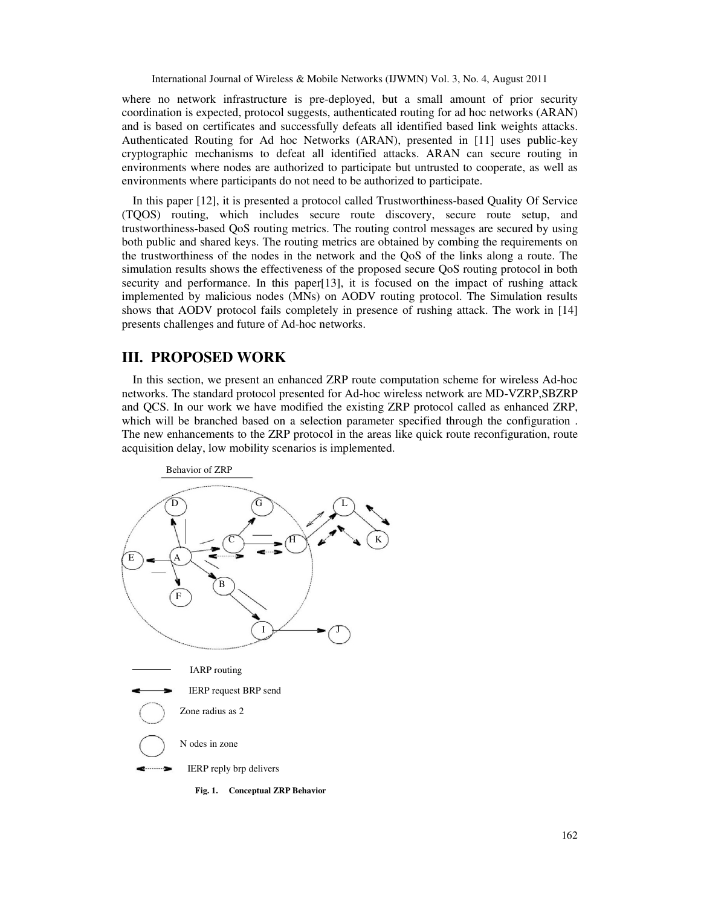where no network infrastructure is pre-deployed, but a small amount of prior security coordination is expected, protocol suggests, authenticated routing for ad hoc networks (ARAN) and is based on certificates and successfully defeats all identified based link weights attacks. Authenticated Routing for Ad hoc Networks (ARAN), presented in [11] uses public-key cryptographic mechanisms to defeat all identified attacks. ARAN can secure routing in environments where nodes are authorized to participate but untrusted to cooperate, as well as environments where participants do not need to be authorized to participate.

In this paper [12], it is presented a protocol called Trustworthiness-based Quality Of Service (TQOS) routing, which includes secure route discovery, secure route setup, and trustworthiness-based QoS routing metrics. The routing control messages are secured by using both public and shared keys. The routing metrics are obtained by combing the requirements on the trustworthiness of the nodes in the network and the QoS of the links along a route. The simulation results shows the effectiveness of the proposed secure QoS routing protocol in both security and performance. In this paper[13], it is focused on the impact of rushing attack implemented by malicious nodes (MNs) on AODV routing protocol. The Simulation results shows that AODV protocol fails completely in presence of rushing attack. The work in [14] presents challenges and future of Ad-hoc networks.

### **III. PROPOSED WORK**

In this section, we present an enhanced ZRP route computation scheme for wireless Ad-hoc networks. The standard protocol presented for Ad-hoc wireless network are MD-VZRP,SBZRP and QCS. In our work we have modified the existing ZRP protocol called as enhanced ZRP, which will be branched based on a selection parameter specified through the configuration . The new enhancements to the ZRP protocol in the areas like quick route reconfiguration, route acquisition delay, low mobility scenarios is implemented.

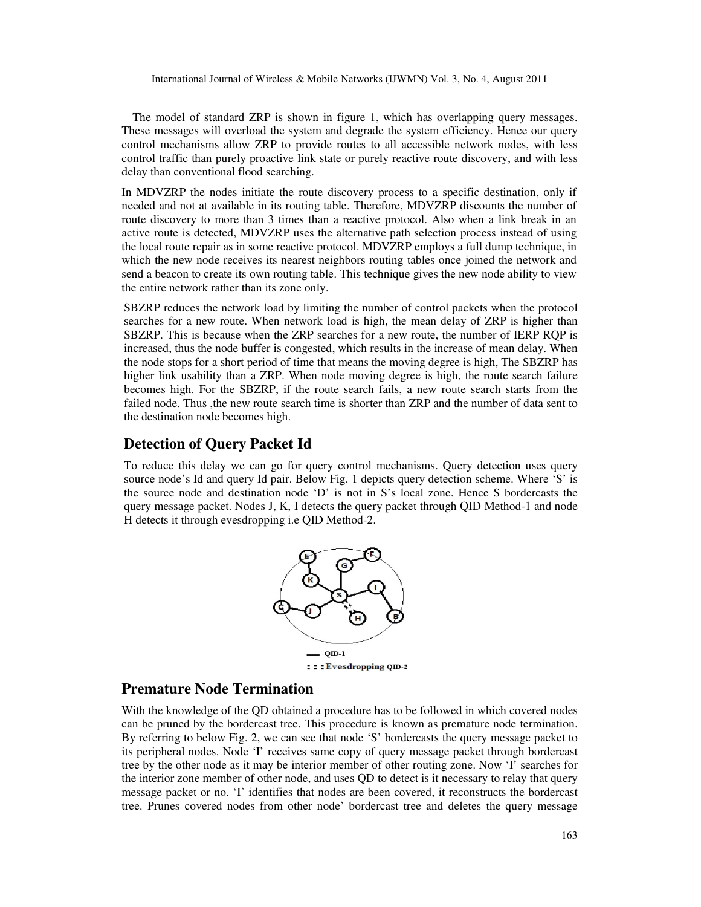The model of standard ZRP is shown in figure 1, which has overlapping query messages. These messages will overload the system and degrade the system efficiency. Hence our query control mechanisms allow ZRP to provide routes to all accessible network nodes, with less control traffic than purely proactive link state or purely reactive route discovery, and with less delay than conventional flood searching.

In MDVZRP the nodes initiate the route discovery process to a specific destination, only if needed and not at available in its routing table. Therefore, MDVZRP discounts the number of route discovery to more than 3 times than a reactive protocol. Also when a link break in an active route is detected, MDVZRP uses the alternative path selection process instead of using the local route repair as in some reactive protocol. MDVZRP employs a full dump technique, in which the new node receives its nearest neighbors routing tables once joined the network and send a beacon to create its own routing table. This technique gives the new node ability to view the entire network rather than its zone only.

SBZRP reduces the network load by limiting the number of control packets when the protocol searches for a new route. When network load is high, the mean delay of ZRP is higher than SBZRP. This is because when the ZRP searches for a new route, the number of IERP RQP is increased, thus the node buffer is congested, which results in the increase of mean delay. When the node stops for a short period of time that means the moving degree is high, The SBZRP has higher link usability than a ZRP. When node moving degree is high, the route search failure becomes high. For the SBZRP, if the route search fails, a new route search starts from the failed node. Thus ,the new route search time is shorter than ZRP and the number of data sent to the destination node becomes high.

#### **Detection of Query Packet Id**

To reduce this delay we can go for query control mechanisms. Query detection uses query source node's Id and query Id pair. Below Fig. 1 depicts query detection scheme. Where 'S' is the source node and destination node 'D' is not in S's local zone. Hence S bordercasts the query message packet. Nodes J, K, I detects the query packet through QID Method-1 and node H detects it through evesdropping i.e QID Method-2.



# **Premature Node Termination**

With the knowledge of the QD obtained a procedure has to be followed in which covered nodes can be pruned by the bordercast tree. This procedure is known as premature node termination. By referring to below Fig. 2, we can see that node 'S' bordercasts the query message packet to its peripheral nodes. Node 'I' receives same copy of query message packet through bordercast tree by the other node as it may be interior member of other routing zone. Now 'I' searches for the interior zone member of other node, and uses QD to detect is it necessary to relay that query message packet or no. 'I' identifies that nodes are been covered, it reconstructs the bordercast tree. Prunes covered nodes from other node' bordercast tree and deletes the query message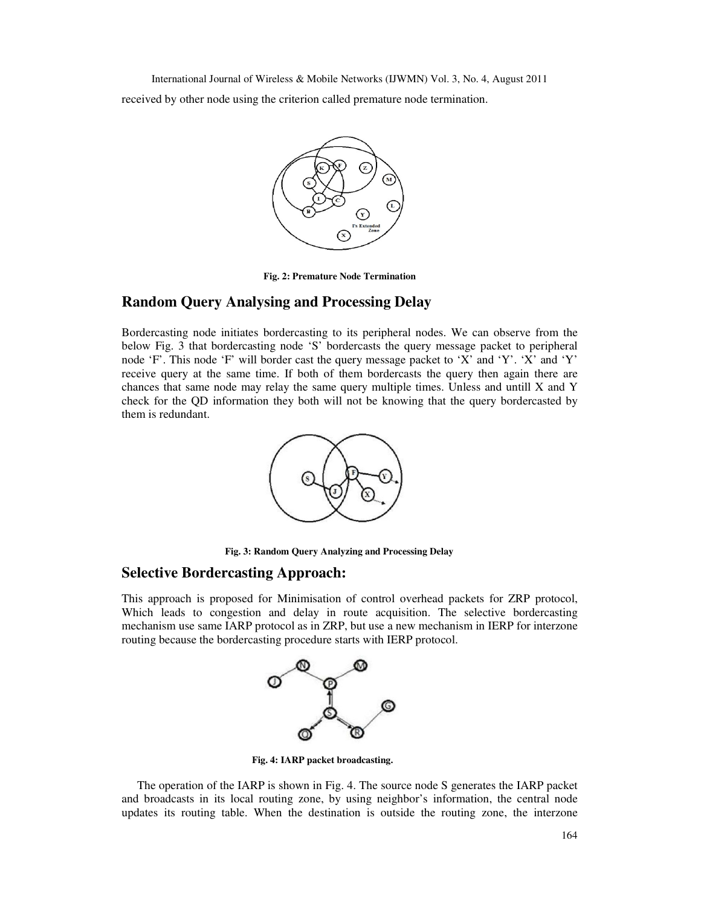International Journal of Wireless & Mobile Networks (IJWMN) Vol. 3, No. 4, August 2011 received by other node using the criterion called premature node termination.



**Fig. 2: Premature Node Termination** 

# **Random Query Analysing and Processing Delay**

Bordercasting node initiates bordercasting to its peripheral nodes. We can observe from the below Fig. 3 that bordercasting node 'S' bordercasts the query message packet to peripheral node 'F'. This node 'F' will border cast the query message packet to 'X' and 'Y'. 'X' and 'Y' receive query at the same time. If both of them bordercasts the query then again there are chances that same node may relay the same query multiple times. Unless and untill X and Y check for the QD information they both will not be knowing that the query bordercasted by them is redundant.



**Fig. 3: Random Query Analyzing and Processing Delay**

### **Selective Bordercasting Approach:**

This approach is proposed for Minimisation of control overhead packets for ZRP protocol, Which leads to congestion and delay in route acquisition. The selective bordercasting mechanism use same IARP protocol as in ZRP, but use a new mechanism in IERP for interzone routing because the bordercasting procedure starts with IERP protocol.



 **Fig. 4: IARP packet broadcasting.**

The operation of the IARP is shown in Fig. 4. The source node S generates the IARP packet and broadcasts in its local routing zone, by using neighbor's information, the central node updates its routing table. When the destination is outside the routing zone, the interzone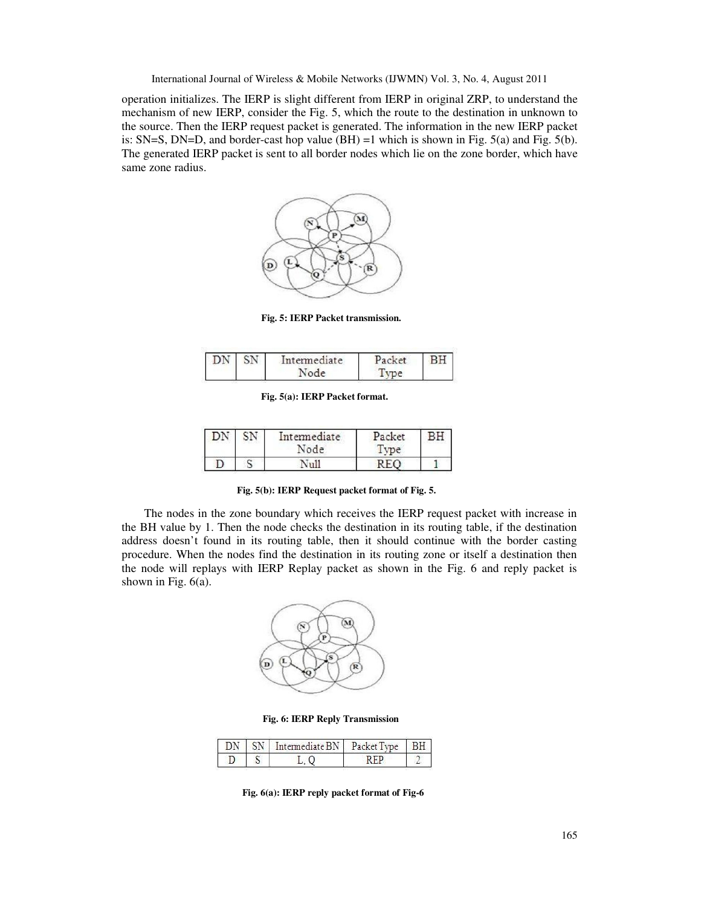operation initializes. The IERP is slight different from IERP in original ZRP, to understand the mechanism of new IERP, consider the Fig. 5, which the route to the destination in unknown to the source. Then the IERP request packet is generated. The information in the new IERP packet is:  $SN = S$ ,  $DN = D$ , and border-cast hop value  $(BH) = 1$  which is shown in Fig. 5(a) and Fig. 5(b). The generated IERP packet is sent to all border nodes which lie on the zone border, which have same zone radius.



**Fig. 5: IERP Packet transmission.** 

| <b>C'NT</b> | Intermediate | $P_3$ $P_4$ |  |
|-------------|--------------|-------------|--|
|             |              |             |  |

**Fig. 5(a): IERP Packet format.**

|  | Intermediate<br>Node | Packet<br>me |  |
|--|----------------------|--------------|--|
|  | $\mathbb{Z}_{11}$ 11 |              |  |

**Fig. 5(b): IERP Request packet format of Fig. 5.** 

The nodes in the zone boundary which receives the IERP request packet with increase in the BH value by 1. Then the node checks the destination in its routing table, if the destination address doesn't found in its routing table, then it should continue with the border casting procedure. When the nodes find the destination in its routing zone or itself a destination then the node will replays with IERP Replay packet as shown in the Fig. 6 and reply packet is shown in Fig.  $6(a)$ .



 **Fig. 6: IERP Reply Transmission**

|  | Intermediate BN   7 | Packet Tyne |  |
|--|---------------------|-------------|--|
|  |                     |             |  |

 **Fig. 6(a): IERP reply packet format of Fig-6**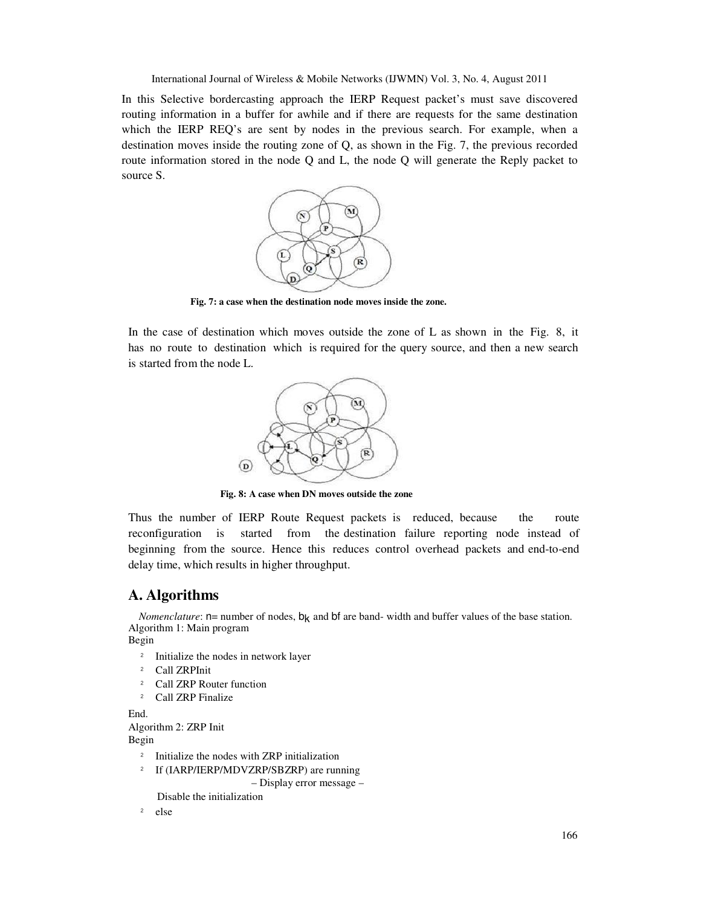In this Selective bordercasting approach the IERP Request packet's must save discovered routing information in a buffer for awhile and if there are requests for the same destination which the IERP REQ's are sent by nodes in the previous search. For example, when a destination moves inside the routing zone of Q, as shown in the Fig. 7, the previous recorded route information stored in the node Q and L, the node Q will generate the Reply packet to source S.



 **Fig. 7: a case when the destination node moves inside the zone.** 

In the case of destination which moves outside the zone of L as shown in the Fig. 8, it has no route to destination which is required for the query source, and then a new search is started from the node L.



 **Fig. 8: A case when DN moves outside the zone** 

Thus the number of IERP Route Request packets is reduced, because the route reconfiguration is started from the destination failure reporting node instead of beginning from the source. Hence this reduces control overhead packets and end-to-end delay time, which results in higher throughput.

#### **A. Algorithms**

*Nomenclature*:  $n=$  number of nodes,  $b_k$  and  $b$ f are band- width and buffer values of the base station. Algorithm 1: Main program

Begin

- <sup>2</sup> Initialize the nodes in network layer
- ² Call ZRPInit
- ² Call ZRP Router function
- ² Call ZRP Finalize

End.

```
Algorithm 2: ZRP Init 
Begin
```
- ² Initialize the nodes with ZRP initialization
- ² If (IARP/IERP/MDVZRP/SBZRP) are running

– Display error message –

Disable the initialization

```
² else
```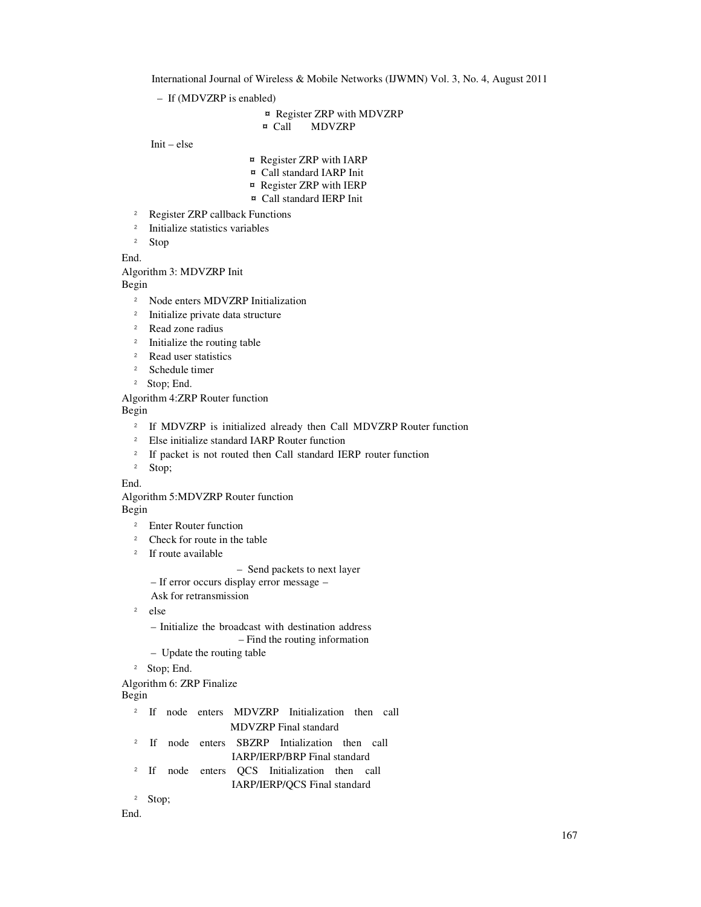– If (MDVZRP is enabled)

- ¤ Register ZRP with MDVZRP
- ¤ Call MDVZRP

Init – else

- ¤ Register ZRP with IARP
- ¤ Call standard IARP Init
- ¤ Register ZRP with IERP
- ¤ Call standard IERP Init
- ² Register ZRP callback Functions
- ² Initialize statistics variables
- ² Stop

End.

Algorithm 3: MDVZRP Init

Begin

- ² Node enters MDVZRP Initialization
- ² Initialize private data structure
- <sup>2</sup> Read zone radius
- <sup>2</sup> Initialize the routing table
- ² Read user statistics
- ² Schedule timer
- ² Stop; End.

Algorithm 4:ZRP Router function

Begin

- ² If MDVZRP is initialized already then Call MDVZRP Router function
- ² Else initialize standard IARP Router function
- <sup>2</sup> If packet is not routed then Call standard IERP router function<br><sup>2</sup> Ston:
- Stop;

End.

Algorithm 5:MDVZRP Router function Begin

- ² Enter Router function
- <sup>2</sup> Check for route in the table
- <sup>2</sup> If route available

#### – Send packets to next layer

– If error occurs display error message –

Ask for retransmission

- ² else
	- Initialize the broadcast with destination address
	- Find the routing information
	- Update the routing table
- ² Stop; End.

```
Algorithm 6: ZRP Finalize
```
Begin

- ² If node enters MDVZRP Initialization then call MDVZRP Final standard
- ² If node enters SBZRP Intialization then call IARP/IERP/BRP Final standard ² If node enters QCS Initialization then call
- IARP/IERP/QCS Final standard

```
² Stop;
```

```
End.
```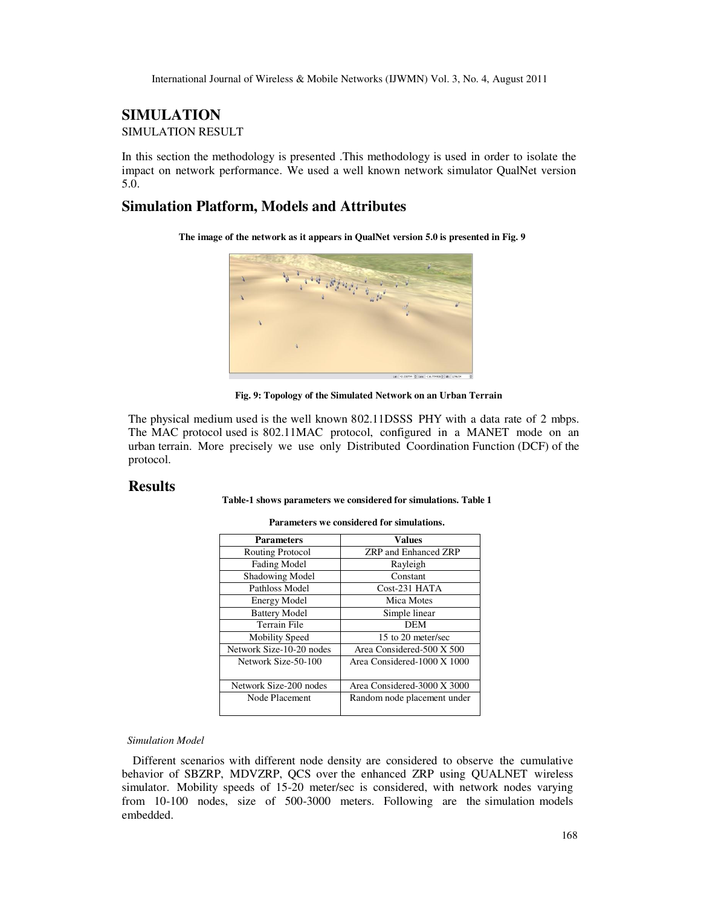# **SIMULATION**

SIMULATION RESULT

In this section the methodology is presented .This methodology is used in order to isolate the impact on network performance. We used a well known network simulator QualNet version 5.0.

#### **Simulation Platform, Models and Attributes**

**The image of the network as it appears in QualNet version 5.0 is presented in Fig. 9**



 **Fig. 9: Topology of the Simulated Network on an Urban Terrain**

The physical medium used is the well known 802.11DSSS PHY with a data rate of 2 mbps. The MAC protocol used is 802.11MAC protocol, configured in a MANET mode on an urban terrain. More precisely we use only Distributed Coordination Function (DCF) of the protocol.

### **Results**

#### **Table-1 shows parameters we considered for simulations. Table 1**

| <b>Parameters</b>        | <b>Values</b>                      |
|--------------------------|------------------------------------|
| Routing Protocol         | <b>ZRP</b> and Enhanced <b>ZRP</b> |
| <b>Fading Model</b>      | Rayleigh                           |
| Shadowing Model          | Constant                           |
| Pathloss Model           | Cost-231 HATA                      |
| <b>Energy Model</b>      | Mica Motes                         |
| <b>Battery Model</b>     | Simple linear                      |
| Terrain File             | DEM                                |
| <b>Mobility Speed</b>    | 15 to 20 meter/sec                 |
| Network Size-10-20 nodes | Area Considered-500 X 500          |
| Network Size-50-100      | Area Considered-1000 X 1000        |
| Network Size-200 nodes   | Area Considered-3000 X 3000        |
| Node Placement           | Random node placement under        |

#### **Parameters we considered for simulations.**

#### *Simulation Model*

Different scenarios with different node density are considered to observe the cumulative behavior of SBZRP, MDVZRP, QCS over the enhanced ZRP using QUALNET wireless simulator. Mobility speeds of 15-20 meter/sec is considered, with network nodes varying from 10-100 nodes, size of 500-3000 meters. Following are the simulation models embedded.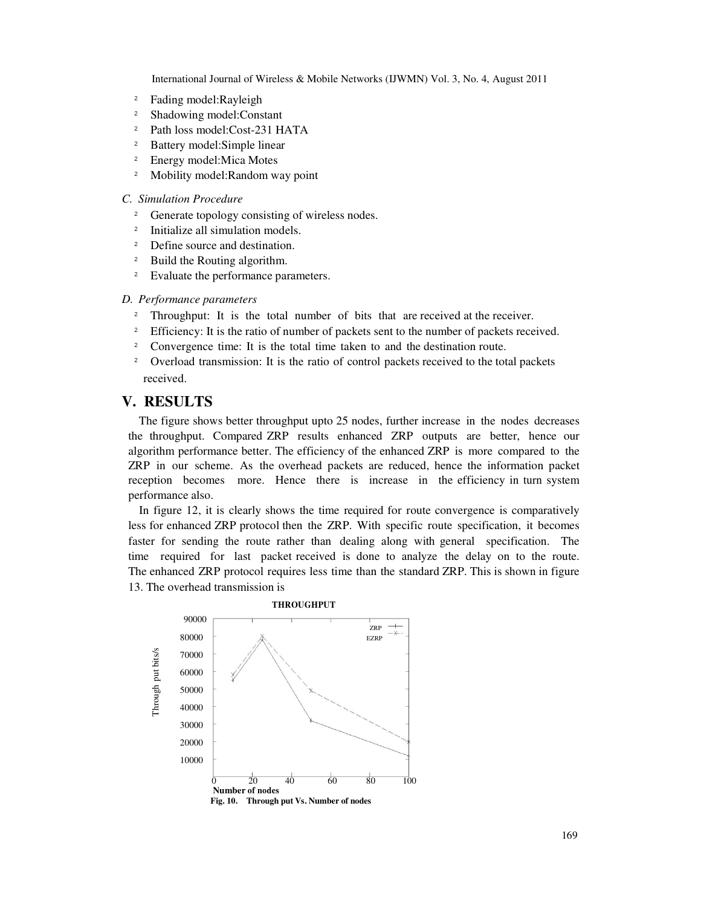- ² Fading model:Rayleigh
- ² Shadowing model:Constant
- ² Path loss model:Cost-231 HATA
- ² Battery model:Simple linear
- ² Energy model:Mica Motes
- ² Mobility model:Random way point

#### *C. Simulation Procedure*

- <sup>2</sup> Generate topology consisting of wireless nodes.
- ² Initialize all simulation models.
- ² Define source and destination.
- ² Build the Routing algorithm.
- <sup>2</sup> Evaluate the performance parameters.

#### *D. Performance parameters*

- <sup>2</sup> Throughput: It is the total number of bits that are received at the receiver.
- <sup>2</sup> Efficiency: It is the ratio of number of packets sent to the number of packets received.
- <sup>2</sup> Convergence time: It is the total time taken to and the destination route.
- <sup>2</sup> Overload transmission: It is the ratio of control packets received to the total packets received.

#### **V. RESULTS**

The figure shows better throughput upto 25 nodes, further increase in the nodes decreases the throughput. Compared ZRP results enhanced ZRP outputs are better, hence our algorithm performance better. The efficiency of the enhanced ZRP is more compared to the ZRP in our scheme. As the overhead packets are reduced, hence the information packet reception becomes more. Hence there is increase in the efficiency in turn system performance also.

In figure 12, it is clearly shows the time required for route convergence is comparatively less for enhanced ZRP protocol then the ZRP. With specific route specification, it becomes faster for sending the route rather than dealing along with general specification. The time required for last packet received is done to analyze the delay on to the route. The enhanced ZRP protocol requires less time than the standard ZRP. This is shown in figure 13. The overhead transmission is

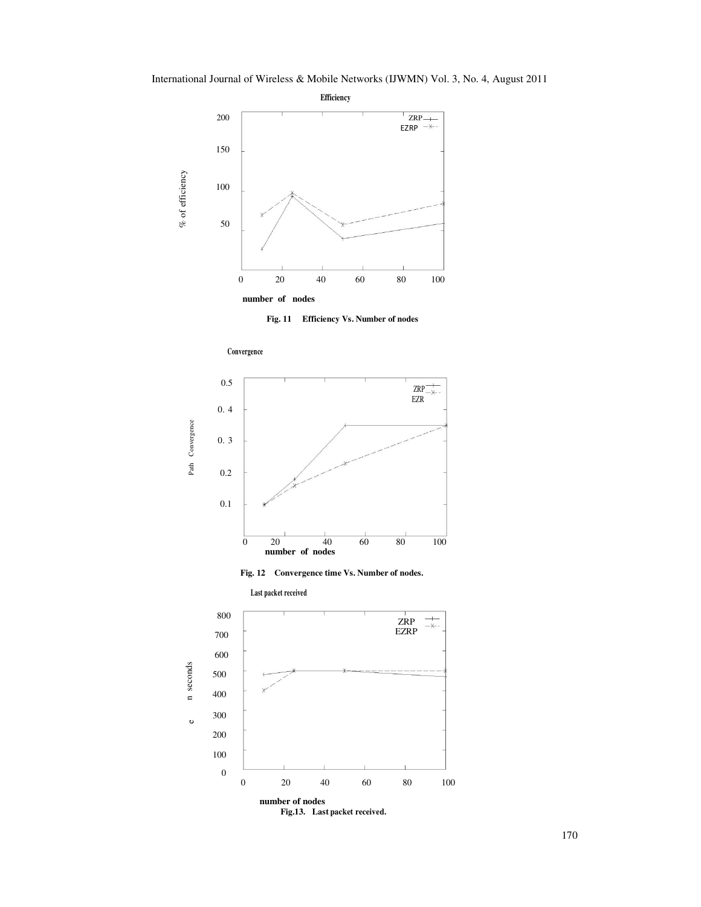International Journal of Wireless & Mobile Networks (IJWMN) Vol. 3, No. 4, August 2011



**Fig. 11 Efficiency Vs. Number of nodes** 





 **Fig. 12 Convergence time Vs. Number of nodes.** 

 **Last packet received**

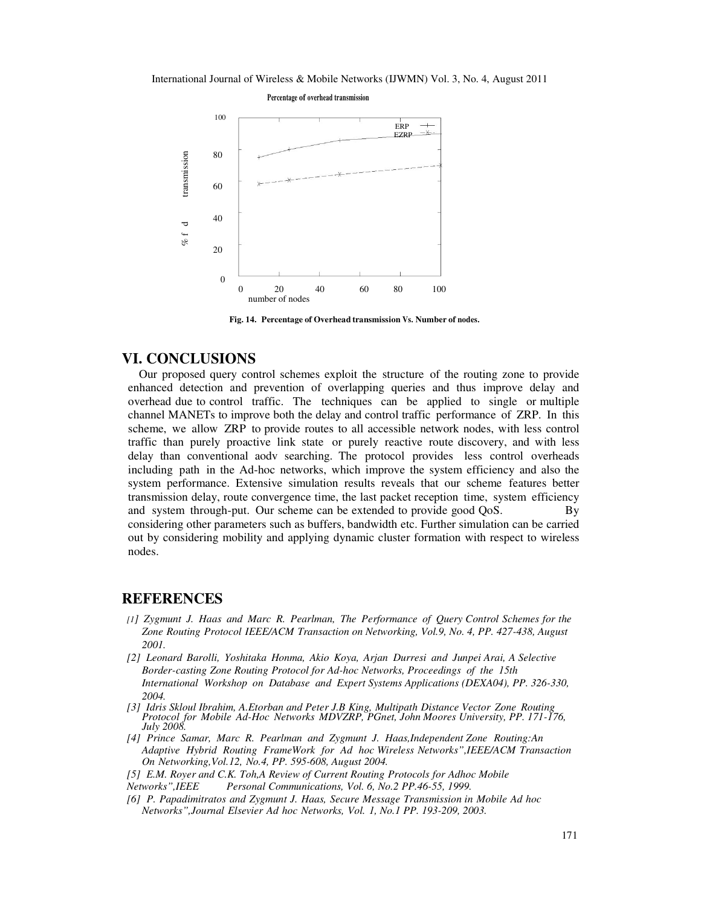International Journal of Wireless & Mobile Networks (IJWMN) Vol. 3, No. 4, August 2011

 $% f d$  transmission **Percentage of overhead transmission**  100 ERP<br>EZRP <u>EZRP EZRP</u> 80 S  $\overline{5}$  60  $-$  40 20 0 0 20 40 60 80 100 number of nodes

 **Fig. 14. Percentage of Overhead transmission Vs. Number of nodes.**

#### **VI. CONCLUSIONS**

ok<br>C

Our proposed query control schemes exploit the structure of the routing zone to provide enhanced detection and prevention of overlapping queries and thus improve delay and overhead due to control traffic. The techniques can be applied to single or multiple channel MANETs to improve both the delay and control traffic performance of ZRP. In this scheme, we allow ZRP to provide routes to all accessible network nodes, with less control traffic than purely proactive link state or purely reactive route discovery, and with less delay than conventional aodv searching. The protocol provides less control overheads including path in the Ad-hoc networks, which improve the system efficiency and also the system performance. Extensive simulation results reveals that our scheme features better transmission delay, route convergence time, the last packet reception time, system efficiency and system through-put. Our scheme can be extended to provide good QoS. By considering other parameters such as buffers, bandwidth etc. Further simulation can be carried out by considering mobility and applying dynamic cluster formation with respect to wireless nodes.

#### **REFERENCES**

- *[1] Zygmunt J. Haas and Marc R. Pearlman, The Performance of Query Control Schemes for the Zone Routing Protocol IEEE/ACM Transaction on Networking, Vol.9, No. 4, PP. 427-438, August 2001.*
- *[2] Leonard Barolli, Yoshitaka Honma, Akio Koya, Arjan Durresi and Junpei Arai, A Selective Border-casting Zone Routing Protocol for Ad-hoc Networks, Proceedings of the 15th International Workshop on Database and Expert Systems Applications (DEXA04), PP. 326-330, 2004.*
- *[3] Idris Skloul Ibrahim, A.Etorban and Peter J.B King, Multipath Distance Vector Zone Routing Protocol for Mobile Ad-Hoc Networks MDVZRP, PGnet, John Moores University, PP. 171-176, July 2008.*
- *[4] Prince Samar, Marc R. Pearlman and Zygmunt J. Haas,Independent Zone Routing:An Adaptive Hybrid Routing FrameWork for Ad hoc Wireless Networks",IEEE/ACM Transaction On Networking,Vol.12, No.4, PP. 595-608, August 2004.*
- *[5] E.M. Royer and C.K. Toh,A Review of Current Routing Protocols for Adhoc Mobile*
- *Networks",IEEE Personal Communications, Vol. 6, No.2 PP.46-55, 1999.*
- *[6] P. Papadimitratos and Zygmunt J. Haas, Secure Message Transmission in Mobile Ad hoc Networks",Journal Elsevier Ad hoc Networks, Vol. 1, No.1 PP. 193-209, 2003.*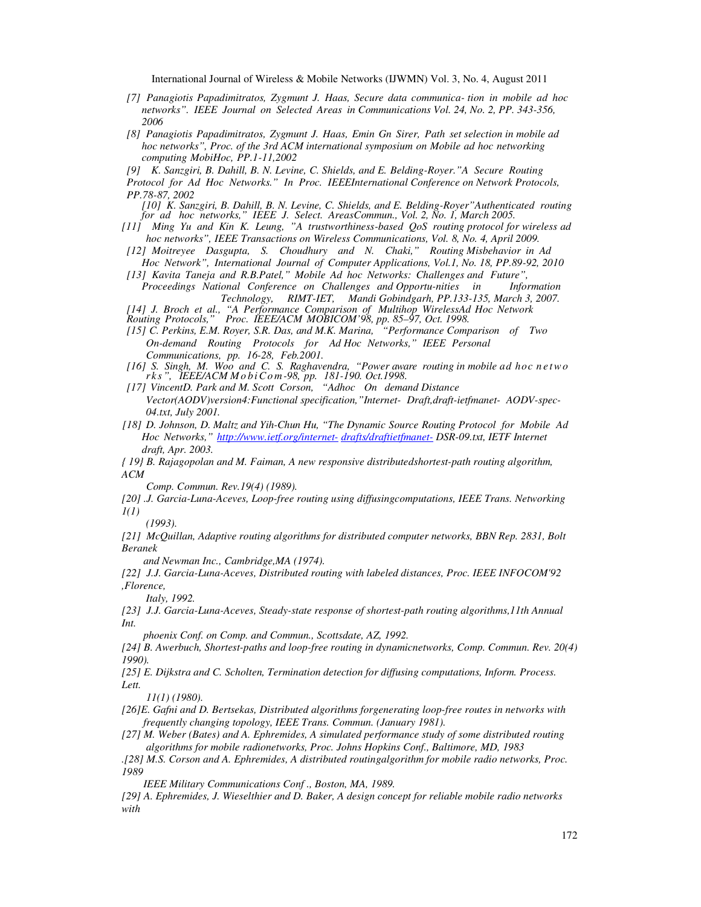- *[7] Panagiotis Papadimitratos, Zygmunt J. Haas, Secure data communica- tion in mobile ad hoc networks". IEEE Journal on Selected Areas in Communications Vol. 24, No. 2, PP. 343-356, 2006*
- *[8] Panagiotis Papadimitratos, Zygmunt J. Haas, Emin Gn Sirer, Path set selection in mobile ad hoc networks", Proc. of the 3rd ACM international symposium on Mobile ad hoc networking computing MobiHoc, PP.1-11,2002*
- *[9] K. Sanzgiri, B. Dahill, B. N. Levine, C. Shields, and E. Belding-Royer."A Secure Routing*
- *Protocol for Ad Hoc Networks." In Proc. IEEEInternational Conference on Network Protocols, PP.78-87, 2002*
- *[10] K. Sanzgiri, B. Dahill, B. N. Levine, C. Shields, and E. Belding-Royer"Authenticated routing for ad hoc networks," IEEE J. Select. AreasCommun., Vol. 2, No. 1, March 2005.*
- *[11] Ming Yu and Kin K. Leung, "A trustworthiness-based QoS routing protocol for wireless ad hoc networks", IEEE Transactions on Wireless Communications, Vol. 8, No. 4, April 2009.*
- *[12] Moitreyee Dasgupta, S. Choudhury and N. Chaki," Routing Misbehavior in Ad Hoc Network", International Journal of Computer Applications, Vol.1, No. 18, PP.89-92, 2010*
- *[13] Kavita Taneja and R.B.Patel," Mobile Ad hoc Networks: Challenges and Future", Proceedings National Conference on Challenges and Opportu-nities in Information Technology, RIMT-IET, Mandi Gobindgarh, PP.133-135, March 3, 2007.*
- *[14] J. Broch et al., "A Performance Comparison of Multihop WirelessAd Hoc Network*
- *Routing Protocols," Proc. IEEE/ACM MOBICOM'98, pp. 85–97, Oct. 1998.*
- *[15] C. Perkins, E.M. Royer, S.R. Das, and M.K. Marina, "Performance Comparison of Two On-demand Routing Protocols for Ad Hoc Networks," IEEE Personal Communications, pp. 16-28, Feb.2001.*
- *[16] S. Singh, M. Woo and C. S. Raghavendra, "Power aware routing in mobile ad hoc n e t w o r k s ", IEEE/ACM M o b i C o m -98, pp. 181-190. Oct.1998.*
- *[17] VincentD. Park and M. Scott Corson, "Adhoc On demand Distance Vector(AODV)version4:Functional specification,"Internet- Draft,draft-ietfmanet- AODV-spec-04.txt, July 2001.*
- *[18] D. Johnson, D. Maltz and Yih-Chun Hu, "The Dynamic Source Routing Protocol for Mobile Ad Hoc Networks," http://www.ietf.org/internet- drafts/draftietfmanet- DSR-09.txt, IETF Internet draft, Apr. 2003.*
- *{ 19} B. Rajagopolan and M. Faiman, A new responsive distributedshortest-path routing algorithm, ACM*

 *Comp. Commun. Rev.19(4) (1989).* 

*[20] .J. Garcia-Luna-Aceves, Loop-free routing using diffusingcomputations, IEEE Trans. Networking 1(1)* 

 *(1993).* 

- *[21] McQuillan, Adaptive routing algorithms for distributed computer networks, BBN Rep. 2831, Bolt Beranek* 
	- *and Newman Inc., Cambridge,MA (1974).*
- *[22] J.J. Garcia-Luna-Aceves, Distributed routing with labeled distances, Proc. IEEE INFOCOM'92 ,Florence,*

 *Italy, 1992.* 

*[23] J.J. Garcia-Luna-Aceves, Steady-state response of shortest-path routing algorithms,11th Annual Int.* 

 *phoenix Conf. on Comp. and Commun., Scottsdate, AZ, 1992.* 

- *[24] B. Awerbuch, Shortest-paths and loop-free routing in dynamicnetworks, Comp. Commun. Rev. 20(4) 1990).*
- *[25] E. Dijkstra and C. Scholten, Termination detection for diffusing computations, Inform. Process. Lett.*

 *11(1) (1980).* 

- *[26]E. Gafni and D. Bertsekas, Distributed algorithms forgenerating loop-free routes in networks with frequently changing topology, IEEE Trans. Commun. (January 1981).*
- *[27] M. Weber (Bates) and A. Ephremides, A simulated performance study of some distributed routing algorithms for mobile radionetworks, Proc. Johns Hopkins Conf., Baltimore, MD, 1983*
- *.[28] M.S. Corson and A. Ephremides, A distributed routingalgorithm for mobile radio networks, Proc. 1989* 
	- *IEEE Military Communications Conf ., Boston, MA, 1989.*
- *[29] A. Ephremides, J. Wieselthier and D. Baker, A design concept for reliable mobile radio networks with*